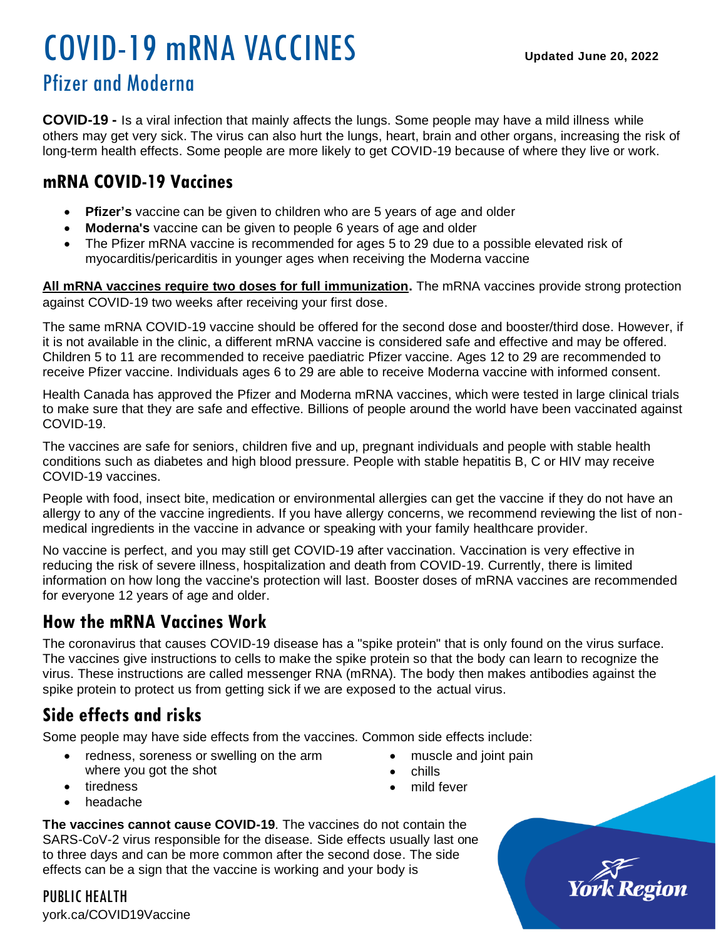# COVID-19 mRNA VACCINES **Updated June 20, 2022**

# Pfizer and Moderna

**COVID-19 -** Is a viral infection that mainly affects the lungs. Some people may have a mild illness while others may get very sick. The virus can also hurt the lungs, heart, brain and other organs, increasing the risk of long-term health effects. Some people are more likely to get COVID-19 because of where they live or work.

## **mRNA COVID-19 Vaccines**

- **Pfizer's** vaccine can be given to children who are 5 years of age and older
- **Moderna's** vaccine can be given to people 6 years of age and older
- The Pfizer mRNA vaccine is recommended for ages 5 to 29 due to a possible elevated risk of myocarditis/pericarditis in younger ages when receiving the Moderna vaccine

**All mRNA vaccines require two doses for full immunization.** The mRNA vaccines provide strong protection against COVID-19 two weeks after receiving your first dose.

The same mRNA COVID-19 vaccine should be offered for the second dose and booster/third dose. However, if it is not available in the clinic, a different mRNA vaccine is considered safe and effective and may be offered. Children 5 to 11 are recommended to receive paediatric Pfizer vaccine. Ages 12 to 29 are recommended to receive Pfizer vaccine. Individuals ages 6 to 29 are able to receive Moderna vaccine with informed consent.

Health Canada has approved the Pfizer and Moderna mRNA vaccines, which were tested in large clinical trials to make sure that they are safe and effective. Billions of people around the world have been vaccinated against COVID-19.

The vaccines are safe for seniors, children five and up, pregnant individuals and people with stable health conditions such as diabetes and high blood pressure. People with stable hepatitis B, C or HIV may receive COVID-19 vaccines.

People with food, insect bite, medication or environmental allergies can get the vaccine if they do not have an allergy to any of the vaccine ingredients. If you have allergy concerns, we recommend reviewing the list of nonmedical ingredients in the vaccine in advance or speaking with your family healthcare provider.

No vaccine is perfect, and you may still get COVID-19 after vaccination. Vaccination is very effective in reducing the risk of severe illness, hospitalization and death from COVID-19. Currently, there is limited information on how long the vaccine's protection will last. Booster doses of mRNA vaccines are recommended for everyone 12 years of age and older.

## **How the mRNA Vaccines Work**

The coronavirus that causes COVID-19 disease has a "spike protein" that is only found on the virus surface. The vaccines give instructions to cells to make the spike protein so that the body can learn to recognize the virus. These instructions are called messenger RNA (mRNA). The body then makes antibodies against the spike protein to protect us from getting sick if we are exposed to the actual virus.

# **Side effects and risks**

Some people may have side effects from the vaccines. Common side effects include:

- redness, soreness or swelling on the arm where you got the shot
- muscle and joint pain
- chills
- mild fever
- tiredness
- headache

**The vaccines cannot cause COVID-19**. The vaccines do not contain the SARS-CoV-2 virus responsible for the disease. Side effects usually last one to three days and can be more common after the second dose. The side effects can be a sign that the vaccine is working and your body is

PUBLIC HEALTH york.ca/COVID19Vaccine